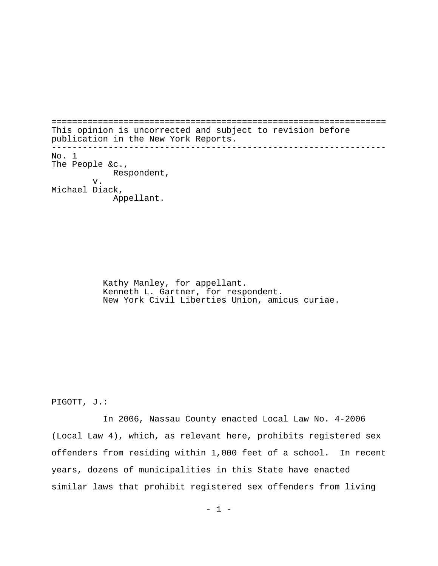================================================================= This opinion is uncorrected and subject to revision before publication in the New York Reports. ----------------------------------------------------------------- No. 1 The People &c., Respondent, v. Michael Diack, Appellant.

> Kathy Manley, for appellant. Kenneth L. Gartner, for respondent. New York Civil Liberties Union, amicus curiae.

PIGOTT, J.:

In 2006, Nassau County enacted Local Law No. 4-2006 (Local Law 4), which, as relevant here, prohibits registered sex offenders from residing within 1,000 feet of a school. In recent years, dozens of municipalities in this State have enacted similar laws that prohibit registered sex offenders from living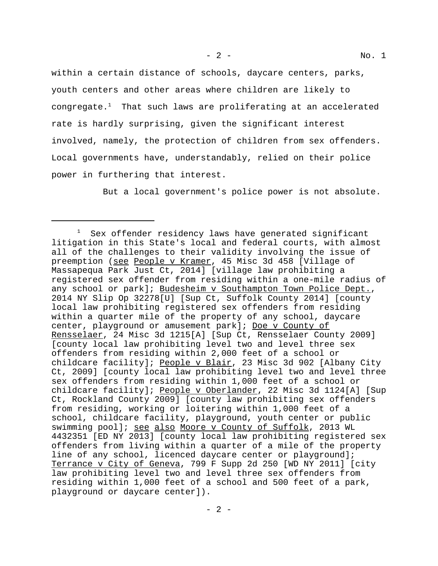within a certain distance of schools, daycare centers, parks, youth centers and other areas where children are likely to congregate. $^1$  That such laws are proliferating at an accelerated rate is hardly surprising, given the significant interest involved, namely, the protection of children from sex offenders. Local governments have, understandably, relied on their police power in furthering that interest.

But a local government's police power is not absolute.

Sex offender residency laws have generated significant litigation in this State's local and federal courts, with almost all of the challenges to their validity involving the issue of preemption (see People v Kramer, 45 Misc 3d 458 [Village of Massapequa Park Just Ct, 2014] [village law prohibiting a registered sex offender from residing within a one-mile radius of any school or park]; Budesheim v Southampton Town Police Dept., 2014 NY Slip Op 32278[U] [Sup Ct, Suffolk County 2014] [county local law prohibiting registered sex offenders from residing within a quarter mile of the property of any school, daycare center, playground or amusement park]; Doe v County of Rensselaer, 24 Misc 3d 1215[A] [Sup Ct, Rensselaer County 2009] [county local law prohibiting level two and level three sex offenders from residing within 2,000 feet of a school or childcare facility]; People v Blair, 23 Misc 3d 902 [Albany City Ct, 2009] [county local law prohibiting level two and level three sex offenders from residing within 1,000 feet of a school or childcare facility]; People v Oberlander, 22 Misc 3d 1124[A] [Sup Ct, Rockland County 2009] [county law prohibiting sex offenders from residing, working or loitering within 1,000 feet of a school, childcare facility, playground, youth center or public swimming pool]; see also Moore v County of Suffolk, 2013 WL 4432351 [ED NY 2013] [county local law prohibiting registered sex offenders from living within a quarter of a mile of the property line of any school, licenced daycare center or playground]; Terrance v City of Geneva, 799 F Supp 2d 250 [WD NY 2011] [city law prohibiting level two and level three sex offenders from residing within 1,000 feet of a school and 500 feet of a park, playground or daycare center]).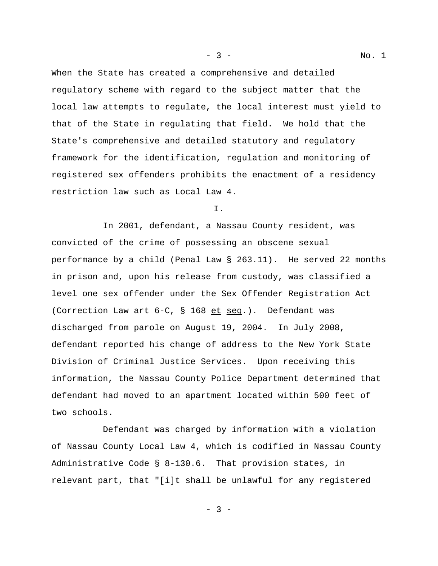When the State has created a comprehensive and detailed regulatory scheme with regard to the subject matter that the local law attempts to regulate, the local interest must yield to that of the State in regulating that field. We hold that the State's comprehensive and detailed statutory and regulatory framework for the identification, regulation and monitoring of registered sex offenders prohibits the enactment of a residency restriction law such as Local Law 4.

### I.

In 2001, defendant, a Nassau County resident, was convicted of the crime of possessing an obscene sexual performance by a child (Penal Law § 263.11). He served 22 months in prison and, upon his release from custody, was classified a level one sex offender under the Sex Offender Registration Act (Correction Law art 6-C, § 168 et seq.). Defendant was discharged from parole on August 19, 2004. In July 2008, defendant reported his change of address to the New York State Division of Criminal Justice Services. Upon receiving this information, the Nassau County Police Department determined that defendant had moved to an apartment located within 500 feet of two schools.

Defendant was charged by information with a violation of Nassau County Local Law 4, which is codified in Nassau County Administrative Code § 8-130.6. That provision states, in relevant part, that "[i]t shall be unlawful for any registered

- 3 -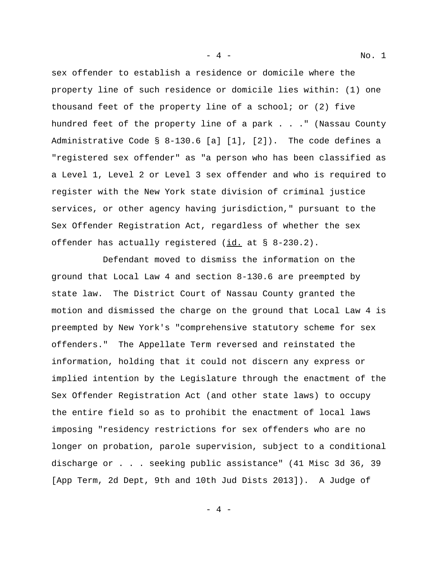sex offender to establish a residence or domicile where the property line of such residence or domicile lies within: (1) one thousand feet of the property line of a school; or (2) five hundred feet of the property line of a park . . ." (Nassau County Administrative Code § 8-130.6 [a] [1], [2]). The code defines a "registered sex offender" as "a person who has been classified as a Level 1, Level 2 or Level 3 sex offender and who is required to register with the New York state division of criminal justice services, or other agency having jurisdiction," pursuant to the Sex Offender Registration Act, regardless of whether the sex offender has actually registered  $(id. at § 8-230.2)$ .

Defendant moved to dismiss the information on the ground that Local Law 4 and section 8-130.6 are preempted by state law. The District Court of Nassau County granted the motion and dismissed the charge on the ground that Local Law 4 is preempted by New York's "comprehensive statutory scheme for sex offenders." The Appellate Term reversed and reinstated the information, holding that it could not discern any express or implied intention by the Legislature through the enactment of the Sex Offender Registration Act (and other state laws) to occupy the entire field so as to prohibit the enactment of local laws imposing "residency restrictions for sex offenders who are no longer on probation, parole supervision, subject to a conditional discharge or . . . seeking public assistance" (41 Misc 3d 36, 39 [App Term, 2d Dept, 9th and 10th Jud Dists 2013]). A Judge of

- 4 - No. 1

 $-4 -$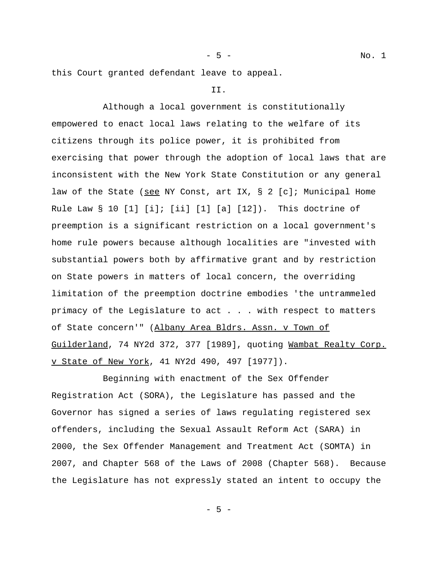- 5 - No. 1

this Court granted defendant leave to appeal.

## II.

Although a local government is constitutionally empowered to enact local laws relating to the welfare of its citizens through its police power, it is prohibited from exercising that power through the adoption of local laws that are inconsistent with the New York State Constitution or any general law of the State (see NY Const, art IX,  $\S$  2 [c]; Municipal Home Rule Law  $\S$  10 [1] [i]; [ii] [1] [a] [12]). This doctrine of preemption is a significant restriction on a local government's home rule powers because although localities are "invested with substantial powers both by affirmative grant and by restriction on State powers in matters of local concern, the overriding limitation of the preemption doctrine embodies 'the untrammeled primacy of the Legislature to act . . . with respect to matters of State concern'" (Albany Area Bldrs. Assn. v Town of Guilderland, 74 NY2d 372, 377 [1989], quoting Wambat Realty Corp. v State of New York, 41 NY2d 490, 497 [1977]).

Beginning with enactment of the Sex Offender Registration Act (SORA), the Legislature has passed and the Governor has signed a series of laws regulating registered sex offenders, including the Sexual Assault Reform Act (SARA) in 2000, the Sex Offender Management and Treatment Act (SOMTA) in 2007, and Chapter 568 of the Laws of 2008 (Chapter 568). Because the Legislature has not expressly stated an intent to occupy the

 $-5 -$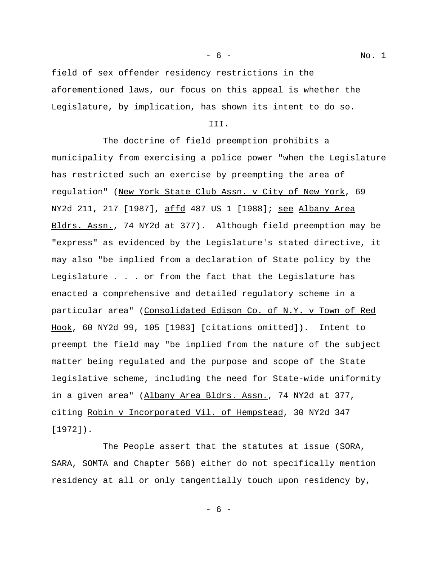- 6 - No. 1

field of sex offender residency restrictions in the aforementioned laws, our focus on this appeal is whether the Legislature, by implication, has shown its intent to do so.

### III.

The doctrine of field preemption prohibits a municipality from exercising a police power "when the Legislature has restricted such an exercise by preempting the area of regulation" (New York State Club Assn. v City of New York, 69 NY2d 211, 217 [1987], affd 487 US 1 [1988]; see Albany Area Bldrs. Assn., 74 NY2d at 377). Although field preemption may be "express" as evidenced by the Legislature's stated directive, it may also "be implied from a declaration of State policy by the Legislature . . . or from the fact that the Legislature has enacted a comprehensive and detailed regulatory scheme in a particular area" (Consolidated Edison Co. of N.Y. v Town of Red Hook, 60 NY2d 99, 105 [1983] [citations omitted]). Intent to preempt the field may "be implied from the nature of the subject matter being regulated and the purpose and scope of the State legislative scheme, including the need for State-wide uniformity in a given area" (Albany Area Bldrs. Assn., 74 NY2d at 377, citing Robin v Incorporated Vil. of Hempstead, 30 NY2d 347 [1972]).

The People assert that the statutes at issue (SORA, SARA, SOMTA and Chapter 568) either do not specifically mention residency at all or only tangentially touch upon residency by,

- 6 -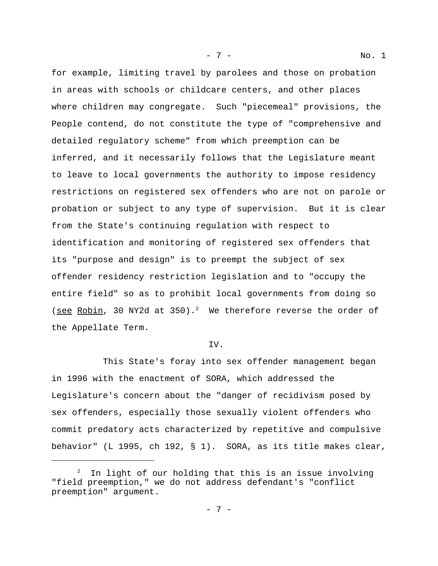for example, limiting travel by parolees and those on probation in areas with schools or childcare centers, and other places where children may congregate. Such "piecemeal" provisions, the People contend, do not constitute the type of "comprehensive and detailed regulatory scheme" from which preemption can be inferred, and it necessarily follows that the Legislature meant to leave to local governments the authority to impose residency restrictions on registered sex offenders who are not on parole or probation or subject to any type of supervision. But it is clear from the State's continuing regulation with respect to identification and monitoring of registered sex offenders that its "purpose and design" is to preempt the subject of sex offender residency restriction legislation and to "occupy the entire field" so as to prohibit local governments from doing so (see Robin, 30 NY2d at 350).<sup>2</sup> We therefore reverse the order of the Appellate Term.

#### IV.

This State's foray into sex offender management began in 1996 with the enactment of SORA, which addressed the Legislature's concern about the "danger of recidivism posed by sex offenders, especially those sexually violent offenders who commit predatory acts characterized by repetitive and compulsive behavior" (L 1995, ch 192, § 1). SORA, as its title makes clear,

 $2$  In light of our holding that this is an issue involving "field preemption," we do not address defendant's "conflict preemption" argument.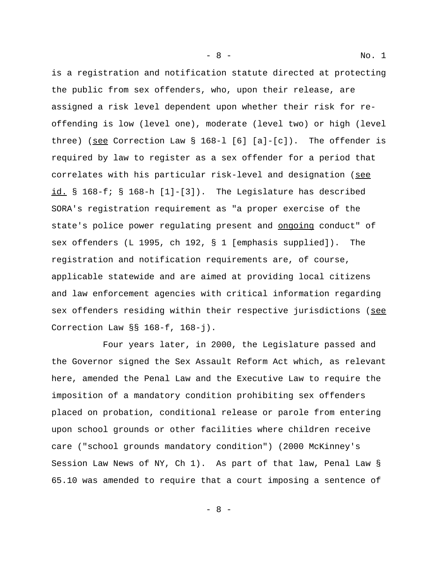is a registration and notification statute directed at protecting the public from sex offenders, who, upon their release, are assigned a risk level dependent upon whether their risk for reoffending is low (level one), moderate (level two) or high (level three) (see Correction Law § 168-l [6] [a]-[c]). The offender is required by law to register as a sex offender for a period that correlates with his particular risk-level and designation (see id. § 168-f; § 168-h [1]-[3]). The Legislature has described SORA's registration requirement as "a proper exercise of the state's police power regulating present and ongoing conduct" of sex offenders (L 1995, ch 192, § 1 [emphasis supplied]). The registration and notification requirements are, of course, applicable statewide and are aimed at providing local citizens and law enforcement agencies with critical information regarding sex offenders residing within their respective jurisdictions (see Correction Law §§ 168-f, 168-j).

Four years later, in 2000, the Legislature passed and the Governor signed the Sex Assault Reform Act which, as relevant here, amended the Penal Law and the Executive Law to require the imposition of a mandatory condition prohibiting sex offenders placed on probation, conditional release or parole from entering upon school grounds or other facilities where children receive care ("school grounds mandatory condition") (2000 McKinney's Session Law News of NY, Ch 1). As part of that law, Penal Law § 65.10 was amended to require that a court imposing a sentence of

- 8 - No. 1

- 8 -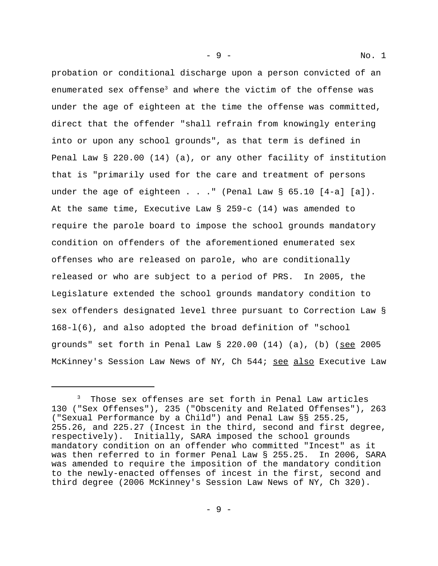probation or conditional discharge upon a person convicted of an enumerated sex offense<sup>3</sup> and where the victim of the offense was under the age of eighteen at the time the offense was committed, direct that the offender "shall refrain from knowingly entering into or upon any school grounds", as that term is defined in Penal Law § 220.00 (14) (a), or any other facility of institution that is "primarily used for the care and treatment of persons under the age of eighteen . . ." (Penal Law  $\S$  65.10 [4-a] [a]). At the same time, Executive Law § 259-c (14) was amended to require the parole board to impose the school grounds mandatory condition on offenders of the aforementioned enumerated sex offenses who are released on parole, who are conditionally released or who are subject to a period of PRS. In 2005, the Legislature extended the school grounds mandatory condition to sex offenders designated level three pursuant to Correction Law § 168-l(6), and also adopted the broad definition of "school grounds" set forth in Penal Law  $\S$  220.00 (14) (a), (b) (see 2005 McKinney's Session Law News of NY, Ch 544; see also Executive Law

<sup>3</sup> Those sex offenses are set forth in Penal Law articles 130 ("Sex Offenses"), 235 ("Obscenity and Related Offenses"), 263 ("Sexual Performance by a Child") and Penal Law §§ 255.25, 255.26, and 225.27 (Incest in the third, second and first degree, respectively). Initially, SARA imposed the school grounds mandatory condition on an offender who committed "Incest" as it was then referred to in former Penal Law § 255.25. In 2006, SARA was amended to require the imposition of the mandatory condition to the newly-enacted offenses of incest in the first, second and third degree (2006 McKinney's Session Law News of NY, Ch 320).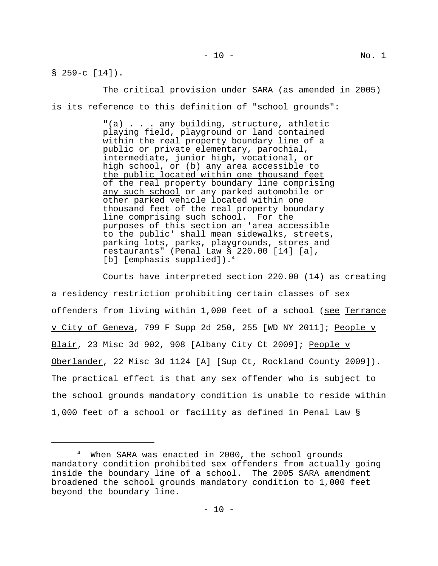$$ 259-c [14]$ .

The critical provision under SARA (as amended in 2005) is its reference to this definition of "school grounds":

> "(a) . . . any building, structure, athletic playing field, playground or land contained within the real property boundary line of a public or private elementary, parochial, intermediate, junior high, vocational, or high school, or (b) any area accessible to the public located within one thousand feet of the real property boundary line comprising any such school or any parked automobile or other parked vehicle located within one thousand feet of the real property boundary line comprising such school. For the purposes of this section an 'area accessible to the public' shall mean sidewalks, streets, parking lots, parks, playgrounds, stores and restaurants" (Penal Law § 220.00 [14] [a], [b] [emphasis supplied]).<sup>4</sup>

Courts have interpreted section 220.00 (14) as creating a residency restriction prohibiting certain classes of sex offenders from living within 1,000 feet of a school (see Terrance v City of Geneva, 799 F Supp 2d 250, 255 [WD NY 2011]; People v Blair, 23 Misc 3d 902, 908 [Albany City Ct 2009]; People v Oberlander, 22 Misc 3d 1124 [A] [Sup Ct, Rockland County 2009]). The practical effect is that any sex offender who is subject to the school grounds mandatory condition is unable to reside within 1,000 feet of a school or facility as defined in Penal Law §

<sup>4</sup> When SARA was enacted in 2000, the school grounds mandatory condition prohibited sex offenders from actually going inside the boundary line of a school. The 2005 SARA amendment broadened the school grounds mandatory condition to 1,000 feet beyond the boundary line.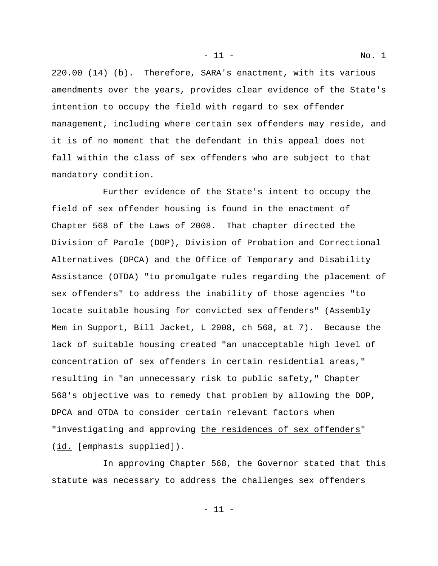220.00 (14) (b). Therefore, SARA's enactment, with its various amendments over the years, provides clear evidence of the State's intention to occupy the field with regard to sex offender management, including where certain sex offenders may reside, and it is of no moment that the defendant in this appeal does not fall within the class of sex offenders who are subject to that mandatory condition.

Further evidence of the State's intent to occupy the field of sex offender housing is found in the enactment of Chapter 568 of the Laws of 2008. That chapter directed the Division of Parole (DOP), Division of Probation and Correctional Alternatives (DPCA) and the Office of Temporary and Disability Assistance (OTDA) "to promulgate rules regarding the placement of sex offenders" to address the inability of those agencies "to locate suitable housing for convicted sex offenders" (Assembly Mem in Support, Bill Jacket, L 2008, ch 568, at 7). Because the lack of suitable housing created "an unacceptable high level of concentration of sex offenders in certain residential areas," resulting in "an unnecessary risk to public safety," Chapter 568's objective was to remedy that problem by allowing the DOP, DPCA and OTDA to consider certain relevant factors when "investigating and approving the residences of sex offenders" (id. [emphasis supplied]).

In approving Chapter 568, the Governor stated that this statute was necessary to address the challenges sex offenders

- 11 - No. 1

- 11 -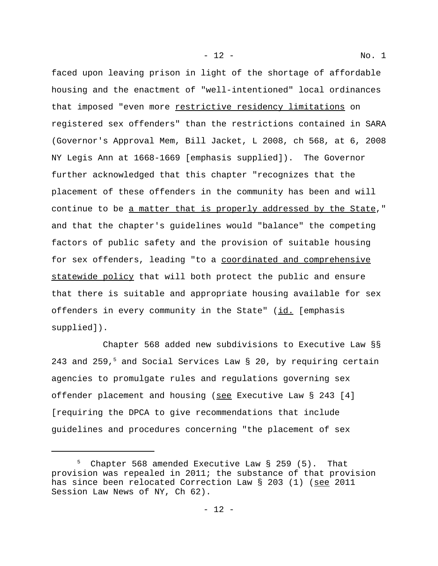- 12 - No. 1

faced upon leaving prison in light of the shortage of affordable housing and the enactment of "well-intentioned" local ordinances that imposed "even more restrictive residency limitations on registered sex offenders" than the restrictions contained in SARA (Governor's Approval Mem, Bill Jacket, L 2008, ch 568, at 6, 2008 NY Legis Ann at 1668-1669 [emphasis supplied]). The Governor further acknowledged that this chapter "recognizes that the placement of these offenders in the community has been and will continue to be a matter that is properly addressed by the State," and that the chapter's guidelines would "balance" the competing factors of public safety and the provision of suitable housing for sex offenders, leading "to a coordinated and comprehensive statewide policy that will both protect the public and ensure that there is suitable and appropriate housing available for sex offenders in every community in the State" (id. [emphasis supplied]).

Chapter 568 added new subdivisions to Executive Law §§ 243 and 259,<sup>5</sup> and Social Services Law § 20, by requiring certain agencies to promulgate rules and regulations governing sex offender placement and housing (see Executive Law § 243 [4] [requiring the DPCA to give recommendations that include guidelines and procedures concerning "the placement of sex

<sup>5</sup> Chapter 568 amended Executive Law § 259 (5). That provision was repealed in 2011; the substance of that provision has since been relocated Correction Law § 203 (1) (see 2011 Session Law News of NY, Ch 62).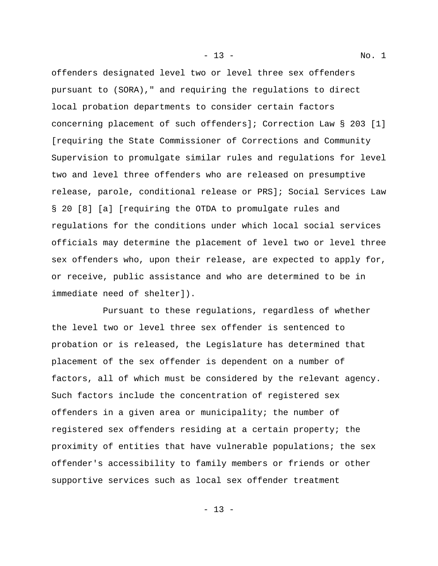offenders designated level two or level three sex offenders pursuant to (SORA)," and requiring the regulations to direct local probation departments to consider certain factors concerning placement of such offenders]; Correction Law § 203 [1] [requiring the State Commissioner of Corrections and Community Supervision to promulgate similar rules and regulations for level two and level three offenders who are released on presumptive release, parole, conditional release or PRS]; Social Services Law § 20 [8] [a] [requiring the OTDA to promulgate rules and regulations for the conditions under which local social services officials may determine the placement of level two or level three sex offenders who, upon their release, are expected to apply for, or receive, public assistance and who are determined to be in immediate need of shelter]).

Pursuant to these regulations, regardless of whether the level two or level three sex offender is sentenced to probation or is released, the Legislature has determined that placement of the sex offender is dependent on a number of factors, all of which must be considered by the relevant agency. Such factors include the concentration of registered sex offenders in a given area or municipality; the number of registered sex offenders residing at a certain property; the proximity of entities that have vulnerable populations; the sex offender's accessibility to family members or friends or other supportive services such as local sex offender treatment

- 13 - No. 1

- 13 -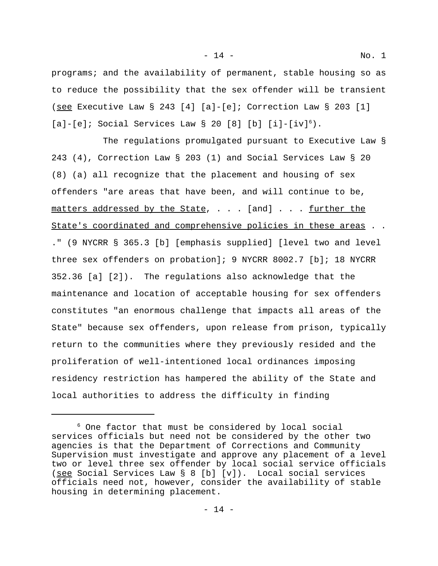programs; and the availability of permanent, stable housing so as to reduce the possibility that the sex offender will be transient (see Executive Law § 243 [4] [a]-[e]; Correction Law § 203 [1]  $[a] - [e]$ ; Social Services Law § 20 [8] [b]  $[i] - [iv]^6$ .

The regulations promulgated pursuant to Executive Law § 243 (4), Correction Law § 203 (1) and Social Services Law § 20 (8) (a) all recognize that the placement and housing of sex offenders "are areas that have been, and will continue to be, matters addressed by the State, . . . [and] . . . further the State's coordinated and comprehensive policies in these areas . . ." (9 NYCRR § 365.3 [b] [emphasis supplied] [level two and level three sex offenders on probation]; 9 NYCRR 8002.7 [b]; 18 NYCRR 352.36 [a] [2]). The regulations also acknowledge that the maintenance and location of acceptable housing for sex offenders constitutes "an enormous challenge that impacts all areas of the State" because sex offenders, upon release from prison, typically return to the communities where they previously resided and the proliferation of well-intentioned local ordinances imposing residency restriction has hampered the ability of the State and local authorities to address the difficulty in finding

<sup>6</sup> One factor that must be considered by local social services officials but need not be considered by the other two agencies is that the Department of Corrections and Community Supervision must investigate and approve any placement of a level two or level three sex offender by local social service officials (see Social Services Law § 8 [b] [v]). Local social services officials need not, however, consider the availability of stable housing in determining placement.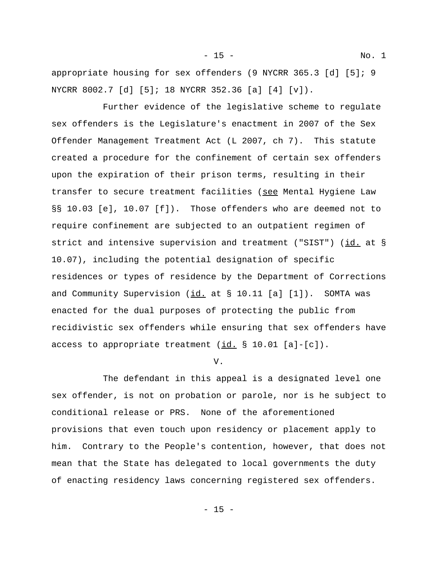appropriate housing for sex offenders (9 NYCRR 365.3 [d] [5]; 9 NYCRR 8002.7 [d] [5]; 18 NYCRR 352.36 [a] [4] [v]).

Further evidence of the legislative scheme to regulate sex offenders is the Legislature's enactment in 2007 of the Sex Offender Management Treatment Act (L 2007, ch 7). This statute created a procedure for the confinement of certain sex offenders upon the expiration of their prison terms, resulting in their transfer to secure treatment facilities (see Mental Hygiene Law §§ 10.03 [e], 10.07 [f]). Those offenders who are deemed not to require confinement are subjected to an outpatient regimen of strict and intensive supervision and treatment ("SIST") (id. at § 10.07), including the potential designation of specific residences or types of residence by the Department of Corrections and Community Supervision  $(i_d, at § 10.11 [a] [1])$ . SOMTA was enacted for the dual purposes of protecting the public from recidivistic sex offenders while ensuring that sex offenders have access to appropriate treatment  $(id. \ S 10.01 [a] - [c])$ .

# V.

The defendant in this appeal is a designated level one sex offender, is not on probation or parole, nor is he subject to conditional release or PRS. None of the aforementioned provisions that even touch upon residency or placement apply to him. Contrary to the People's contention, however, that does not mean that the State has delegated to local governments the duty of enacting residency laws concerning registered sex offenders.

- 15 - No. 1

- 15 -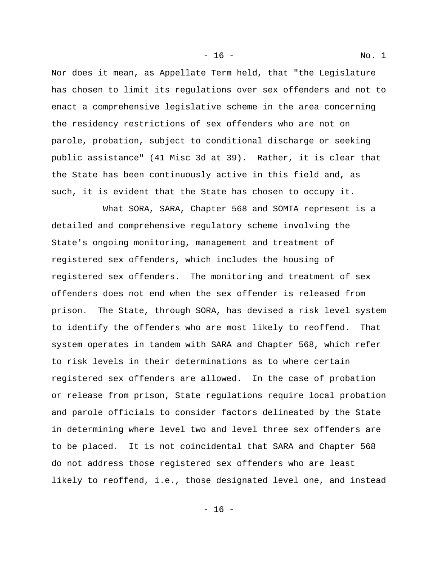Nor does it mean, as Appellate Term held, that "the Legislature has chosen to limit its regulations over sex offenders and not to enact a comprehensive legislative scheme in the area concerning the residency restrictions of sex offenders who are not on parole, probation, subject to conditional discharge or seeking public assistance" (41 Misc 3d at 39). Rather, it is clear that the State has been continuously active in this field and, as such, it is evident that the State has chosen to occupy it.

What SORA, SARA, Chapter 568 and SOMTA represent is a detailed and comprehensive regulatory scheme involving the State's ongoing monitoring, management and treatment of registered sex offenders, which includes the housing of registered sex offenders. The monitoring and treatment of sex offenders does not end when the sex offender is released from prison. The State, through SORA, has devised a risk level system to identify the offenders who are most likely to reoffend. That system operates in tandem with SARA and Chapter 568, which refer to risk levels in their determinations as to where certain registered sex offenders are allowed. In the case of probation or release from prison, State regulations require local probation and parole officials to consider factors delineated by the State in determining where level two and level three sex offenders are to be placed. It is not coincidental that SARA and Chapter 568 do not address those registered sex offenders who are least likely to reoffend, i.e., those designated level one, and instead

- 16 - No. 1

- 16 -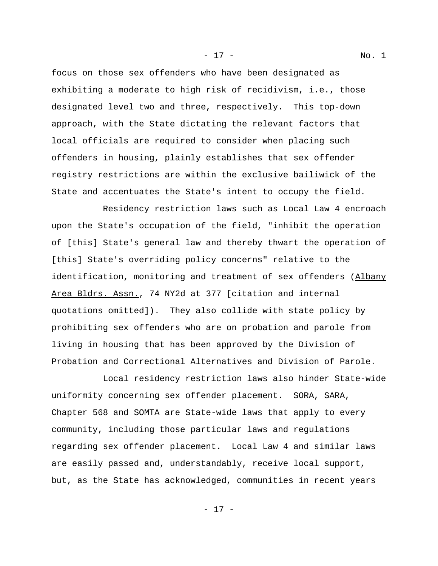focus on those sex offenders who have been designated as exhibiting a moderate to high risk of recidivism, i.e., those designated level two and three, respectively. This top-down approach, with the State dictating the relevant factors that local officials are required to consider when placing such offenders in housing, plainly establishes that sex offender registry restrictions are within the exclusive bailiwick of the State and accentuates the State's intent to occupy the field.

Residency restriction laws such as Local Law 4 encroach upon the State's occupation of the field, "inhibit the operation of [this] State's general law and thereby thwart the operation of [this] State's overriding policy concerns" relative to the identification, monitoring and treatment of sex offenders (Albany Area Bldrs. Assn., 74 NY2d at 377 [citation and internal quotations omitted]). They also collide with state policy by prohibiting sex offenders who are on probation and parole from living in housing that has been approved by the Division of Probation and Correctional Alternatives and Division of Parole.

Local residency restriction laws also hinder State-wide uniformity concerning sex offender placement. SORA, SARA, Chapter 568 and SOMTA are State-wide laws that apply to every community, including those particular laws and regulations regarding sex offender placement. Local Law 4 and similar laws are easily passed and, understandably, receive local support, but, as the State has acknowledged, communities in recent years

- 17 - No. 1

- 17 -